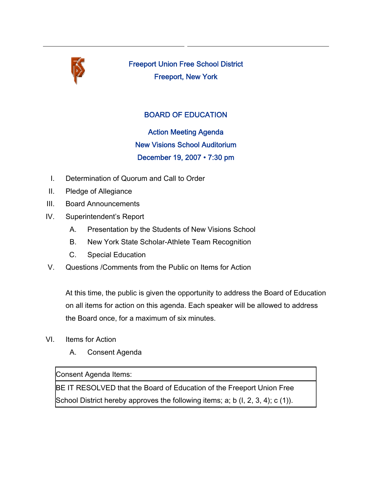

Freeport Union Free School District Freeport, New York

## BOARD OF EDUCATION

Action Meeting Agenda New Visions School Auditorium December 19, 2007 • 7:30 pm

- I. Determination of Quorum and Call to Order
- II. Pledge of Allegiance
- III. Board Announcements
- IV. Superintendent's Report
	- A. Presentation by the Students of New Visions School
	- B. New York State Scholar-Athlete Team Recognition
	- C. Special Education
- V. Questions /Comments from the Public on Items for Action

At this time, the public is given the opportunity to address the Board of Education on all items for action on this agenda. Each speaker will be allowed to address the Board once, for a maximum of six minutes.

- VI. Items for Action
	- A. Consent Agenda

Consent Agenda Items:

BE IT RESOLVED that the Board of Education of the Freeport Union Free School District hereby approves the following items; a; b (I, 2, 3, 4); c (1)).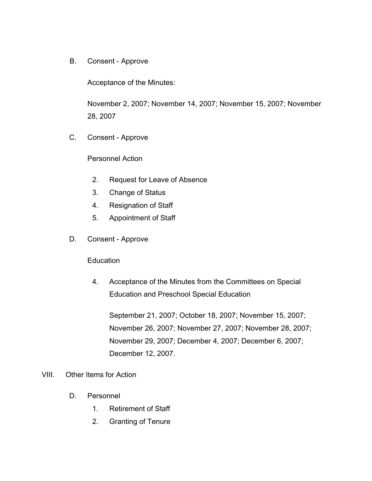B. Consent - Approve

Acceptance of the Minutes:

November 2, 2007; November 14, 2007; November 15, 2007; November 28, 2007

C. Consent - Approve

Personnel Action

- 2. Request for Leave of Absence
- 3. Change of Status
- 4. Resignation of Staff
- 5. Appointment of Staff
- D. Consent Approve

**Education** 

4. Acceptance of the Minutes from the Committees on Special Education and Preschool Special Education

September 21, 2007; October 18, 2007; November 15, 2007; November 26, 2007; November 27, 2007; November 28, 2007; November 29, 2007; December 4, 2007; December 6, 2007; December 12, 2007.

## VIII. Other Items for Action

- D. Personnel
	- 1. Retirement of Staff
	- 2. Granting of Tenure